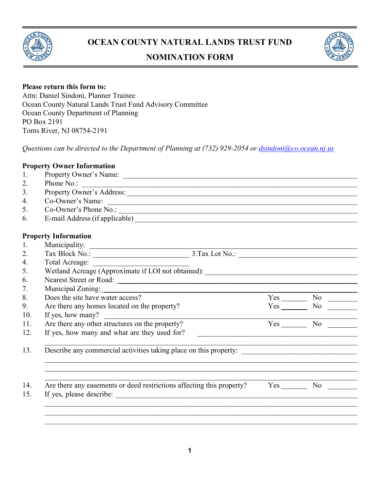

# **OCEAN COUNTY NATURAL LANDS TRUST FUND**

# **NOMINATION FORM**



#### **Please return this form to:**

Attn: Daniel Sindoni, Planner Trainee Ocean County Natural Lands Trust Fund Advisory Committee Ocean County Department of Planning PO Box 2191 Toms River, NJ 08754-2191

*Questions can be directed to the Department of Planning at (732) 929-2054 or [dsindoni@co.ocean.nj.us](mailto:dsindoni@co.ocean.nj.us)*

#### **Property Owner Information**

- 1. Property Owner's Name: \_\_\_\_\_\_\_\_\_\_\_\_\_\_\_\_\_\_\_\_\_\_\_\_\_\_\_\_\_\_\_\_\_\_\_\_\_\_\_\_\_\_\_\_\_\_\_\_\_\_\_\_\_\_\_\_\_\_\_\_\_\_\_ 2. Phone No.: \_\_\_\_\_\_\_\_\_\_\_\_\_\_\_\_\_\_\_\_\_\_\_\_\_\_\_\_\_\_\_\_\_\_\_\_\_\_\_\_\_\_\_\_\_\_\_\_\_\_\_\_\_\_\_\_\_\_\_\_\_\_\_\_\_\_\_\_\_\_\_\_\_\_ 3. Property Owner's Address:\_\_\_\_\_\_\_\_\_\_\_\_\_\_\_\_\_\_\_\_\_\_\_\_\_\_\_\_\_\_\_\_\_\_\_\_\_\_\_\_\_\_\_\_\_\_\_\_\_\_\_\_\_\_\_\_\_\_\_\_\_\_
	-
	- 4. Co-Owner's Name:
	- 5. Co-Owner's Phone No.: \_\_\_\_\_\_\_\_\_\_\_\_\_\_\_\_\_\_\_\_\_\_\_\_\_\_\_\_\_\_\_\_\_\_\_\_\_\_\_\_\_\_\_\_\_\_\_\_\_\_\_\_\_\_\_\_\_\_\_\_\_\_\_\_
	- 6. E-mail Address (if applicable)

#### **Property Information**

| . . | W<br>. .<br>the contract of the contract of the contract of the contract of the contract of the contract of the contract of |            |
|-----|-----------------------------------------------------------------------------------------------------------------------------|------------|
|     | $\overline{\phantom{a}}$<br>___                                                                                             | $ -$<br>__ |

|                                                 | Wetland Acreage (Approximate if LOI not obtained): _____________________________                     |                          |  |
|-------------------------------------------------|------------------------------------------------------------------------------------------------------|--------------------------|--|
|                                                 |                                                                                                      |                          |  |
|                                                 |                                                                                                      |                          |  |
| Does the site have water access?                |                                                                                                      | $Yes$ No $\_\_\_\_\_\_\$ |  |
| Are there any homes located on the property?    |                                                                                                      | $Yes$ No                 |  |
| If yes, how many? $\qquad \qquad$               |                                                                                                      |                          |  |
| Are there any other structures on the property? |                                                                                                      | Yes No                   |  |
| If yes, how many and what are they used for?    | <u> 1989 - John Stein, Amerikaansk politiker († 1958)</u>                                            |                          |  |
|                                                 |                                                                                                      |                          |  |
|                                                 | Describe any commercial activities taking place on this property: __________________________________ |                          |  |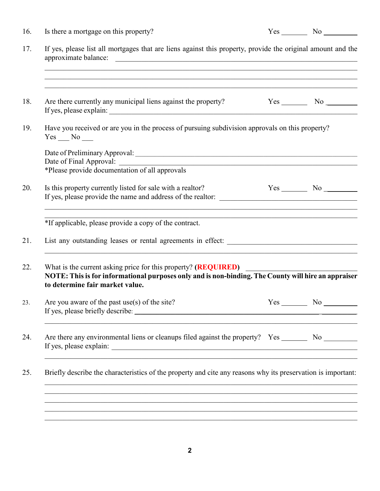| If yes, please list all mortgages that are liens against this property, provide the original amount and the                                                                                              |     |                          |  |  |  |
|----------------------------------------------------------------------------------------------------------------------------------------------------------------------------------------------------------|-----|--------------------------|--|--|--|
| ,我们也不能在这里的时候,我们也不能在这里的时候,我们也不能会在这里的时候,我们也不能会在这里的时候,我们也不能会在这里的时候,我们也不能会在这里的时候,我们也不<br>,我们也不能在这里的时候,我们也不能在这里的时候,我们也不能会在这里的时候,我们也不能会在这里的时候,我们也不能会在这里的时候,我们也不能会在这里的时候,我们也不                                   |     |                          |  |  |  |
| ,我们也不能在这里的时候,我们也不能在这里的时候,我们也不能会在这里的时候,我们也不能会在这里的时候,我们也不能会在这里的时候,我们也不能会在这里的时候,我们也不<br>Are there currently any municipal liens against the property?                                                       |     | $Yes$ No $\_\_\_\_\_\_\$ |  |  |  |
| Have you received or are you in the process of pursuing subdivision approvals on this property?<br>$Yes$ No $\_\_$                                                                                       |     |                          |  |  |  |
|                                                                                                                                                                                                          |     |                          |  |  |  |
| *Please provide documentation of all approvals                                                                                                                                                           |     |                          |  |  |  |
| Is this property currently listed for sale with a realtor?                                                                                                                                               |     | $Yes$ No $\_\_\_\_\_\_\$ |  |  |  |
| <u> 1989 - Johann Stoff, deutscher Stoff, der Stoff, der Stoff, der Stoff, der Stoff, der Stoff, der Stoff, der S</u><br>*If applicable, please provide a copy of the contract.                          |     |                          |  |  |  |
|                                                                                                                                                                                                          |     |                          |  |  |  |
| What is the current asking price for this property? (REQUIRED)<br>NOTE: This is for informational purposes only and is non-binding. The County will hire an appraiser<br>to determine fair market value. |     |                          |  |  |  |
| Are you aware of the past $use(s)$ of the site?                                                                                                                                                          | Yes | No                       |  |  |  |
| Are there any environmental liens or cleanups filed against the property? Yes ________ No                                                                                                                |     |                          |  |  |  |
| Briefly describe the characteristics of the property and cite any reasons why its preservation is important:                                                                                             |     |                          |  |  |  |
| ,我们也不能在这里的时候,我们也不能在这里的时候,我们也不能会在这里的时候,我们也不能会在这里的时候,我们也不能会在这里的时候,我们也不能会在这里的时候,我们也不                                                                                                                        |     |                          |  |  |  |
|                                                                                                                                                                                                          |     |                          |  |  |  |